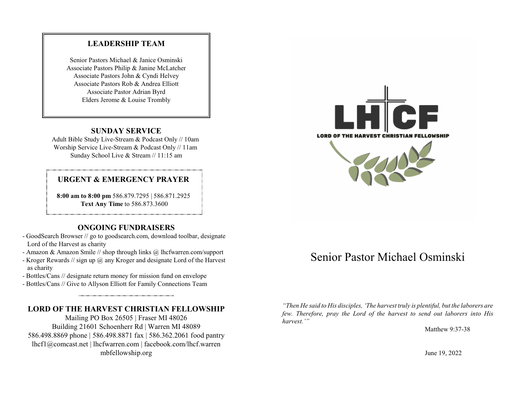#### **LEADERSHIP TEAM**

Senior Pastors Michael & Janice Osminski Associate Pastors Philip & Janine McLatcher Associate Pastors John & Cyndi Helvey Associate Pastors Rob & Andrea Elliott Associate Pastor Adrian Byrd Elders Jerome & Louise Trombly

#### **SUNDAY SERVICE**

Adult Bible Study Live-Stream & Podcast Only // 10am Worship Service Live-Stream & Podcast Only // 11am Sunday School Live & Stream // 11:15 am

#### **URGENT & EMERGENCY PRAYER**

**8:00 am to 8:00 pm** 586.879.7295 | 586.871.2925 **Text Any Time** to 586.873.3600

#### **ONGOING FUNDRAISERS**

- GoodSearch Browser // go to goodsearch.com, download toolbar, designate Lord of the Harvest as charity
- Amazon & Amazon Smile // shop through links @ lhcfwarren.com/support
- Kroger Rewards // sign up @ any Kroger and designate Lord of the Harvest as charity
- Bottles/Cans // designate return money for mission fund on envelope
- Bottles/Cans // Give to Allyson Elliott for Family Connections Team

#### **LORD OF THE HARVEST CHRISTIAN FELLOWSHIP**

Mailing PO Box 26505 | Fraser MI 48026 Building 21601 Schoenherr Rd | Warren MI 48089 586.498.8869 phone | 586.498.8871 fax | 586.362.2061 food pantry lhcf1@comcast.net | lhcfwarren.com | facebook.com/lhcf.warren mbfellowship.org



# Senior Pastor Michael Osminski

*"Then He said to His disciples, 'The harvest truly is plentiful, but the laborers are few. Therefore, pray the Lord of the harvest to send out laborers into His harvest.'"*

Matthew 9:37-38

June 19, 2022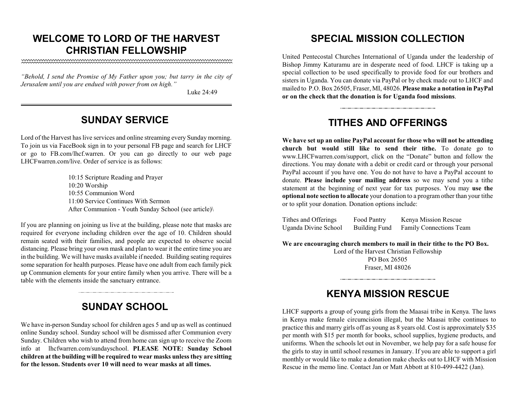### **WELCOME TO LORD OF THE HARVEST CHRISTIAN FELLOWSHIP**

*"Behold, I send the Promise of My Father upon you; but tarry in the city of Jerusalem until you are endued with power from on high."*

Luke 24:49

#### **SUNDAY SERVICE**

Lord of the Harvest has live services and online streaming every Sunday morning. To join us via FaceBook sign in to your personal FB page and search for LHCF or go to FB.com/lhcf.warren. Or you can go directly to our web page LHCFwarren.com/live. Order of service is as follows:

> 10:15 Scripture Reading and Prayer 10:20 Worship 10:55 Communion Word 11:00 Service Continues With Sermon After Communion - Youth Sunday School (see article)\

If you are planning on joining us live at the building, please note that masks are required for everyone including children over the age of 10. Children should remain seated with their families, and people are expected to observe social distancing. Please bring your own mask and plan to wear it the entire time you are in the building. We will have masks available if needed. Building seating requires some separation for health purposes. Please have one adult from each family pick up Communion elements for your entire family when you arrive. There will be a table with the elements inside the sanctuary entrance.

## **SUNDAY SCHOOL**

We have in-person Sunday school for children ages 5 and up as well as continued online Sunday school. Sunday school will be dismissed after Communion every Sunday. Children who wish to attend from home can sign up to receive the Zoom info at lhcfwarren.com/sundayschool. **PLEASE NOTE: Sunday School children at the building will be required to wear masks unless they are sitting for the lesson. Students over 10 will need to wear masks at all times.**

### **SPECIAL MISSION COLLECTION**

United Pentecostal Churches International of Uganda under the leadership of Bishop Jimmy Katuramu are in desperate need of food. LHCF is taking up a special collection to be used specifically to provide food for our brothers and sisters in Uganda. You can donate via PayPal or by check made out to LHCF and mailed to P.O. Box 26505, Fraser, MI, 48026. **Please make a notation in PayPal or on the check that the donation is for Uganda food missions**.

## **TITHES AND OFFERINGS**

**We have set up an online PayPal account for those who will not be attending church but would still like to send their tithe.** To donate go to www.LHCFwarren.com/support, click on the "Donate" button and follow the directions. You may donate with a debit or credit card or through your personal PayPal account if you have one. You do not have to have a PayPal account to donate. **Please include your mailing address** so we may send you a tithe statement at the beginning of next year for tax purposes. You may **use the optional note section to allocate** your donation to a program other than your tithe or to split your donation. Donation options include:

| Tithes and Offerings | Food Pantry   | Kenya Mission Rescue    |
|----------------------|---------------|-------------------------|
| Uganda Divine School | Building Fund | Family Connections Team |

**We are encouraging church members to mail in their tithe to the PO Box.** 

Lord of the Harvest Christian Fellowship PO Box 26505 Fraser, MI 48026

## **KENYA MISSION RESCUE**

LHCF supports a group of young girls from the Maasai tribe in Kenya. The laws in Kenya make female circumcision illegal, but the Maasai tribe continues to practice this and marry girls off as young as 8 years old. Cost is approximately \$35 per month with \$15 per month for books, school supplies, hygiene products, and uniforms. When the schools let out in November, we help pay for a safe house for the girls to stay in until school resumes in January. If you are able to support a girl monthly or would like to make a donation make checks out to LHCF with Mission Rescue in the memo line. Contact Jan or Matt Abbott at 810-499-4422 (Jan).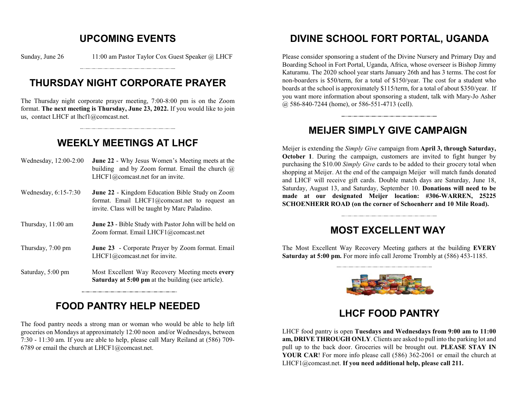### **UPCOMING EVENTS**

Sunday, June 26 11:00 am Pastor Taylor Cox Guest Speaker @ LHCF

## **THURSDAY NIGHT CORPORATE PRAYER**

The Thursday night corporate prayer meeting, 7:00-8:00 pm is on the Zoom format. **The next meeting is Thursday, June 23, 2022.** If you would like to join us, contact LHCF at lhcf1@comcast.net.

## **WEEKLY MEETINGS AT LHCF**

- Wednesday, 12:00-2:00 **June 22** Why Jesus Women's Meeting meets at the building and by Zoom format. Email the church  $\omega$ LHCF1@comcast.net for an invite.
- Wednesday, 6:15-7:30 **June 22** Kingdom Education Bible Study on Zoom format. Email LHCF1@comcast.net to request an invite. Class will be taught by Marc Paladino.
- Thursday, 11:00 am **June 23** Bible Study with Pastor John will be held on Zoom format. Email LHCF1@comcast.net
- Thursday, 7:00 pm **June 23** Corporate Prayer by Zoom format. Email LHCF1@comcast.net for invite.
- Saturday, 5:00 pm Most Excellent Way Recovery Meeting meets **every Saturday at 5:00 pm** at the building (see article).

## **FOOD PANTRY HELP NEEDED**

The food pantry needs a strong man or woman who would be able to help lift groceries on Mondays at approximately 12:00 noon and/or Wednesdays, between 7:30 - 11:30 am. If you are able to help, please call Mary Reiland at (586) 709- 6789 or email the church at LHCF1@comcast.net.

## **DIVINE SCHOOL FORT PORTAL, UGANDA**

Please consider sponsoring a student of the Divine Nursery and Primary Day and Boarding School in Fort Portal, Uganda, Africa, whose overseer is Bishop Jimmy Katuramu. The 2020 school year starts January 26th and has 3 terms. The cost for non-boarders is \$50/term, for a total of \$150/year. The cost for a student who boards at the school is approximately \$115/term, for a total of about \$350/year. If you want more information about sponsoring a student, talk with Mary-Jo Asher @ 586-840-7244 (home), or 586-551-4713 (cell).

### **MEIJER SIMPLY GIVE CAMPAIGN**

Meijer is extending the *Simply Give* campaign from **April 3, through Saturday, October 1**. During the campaign, customers are invited to fight hunger by purchasing the \$10.00 *Simply Give* cards to be added to their grocery total when shopping at Meijer. At the end of the campaign Meijer will match funds donated and LHCF will receive gift cards. Double match days are Saturday, June 18, Saturday, August 13, and Saturday, September 10. **Donations will need to be made at our designated Meijer location: #306-WARREN, 25225 SCHOENHERR ROAD (on the corner of Schoenherr and 10 Mile Road).** 

### **MOST EXCELLENT WAY**

The Most Excellent Way Recovery Meeting gathers at the building **EVERY Saturday at 5:00 pm.** For more info call Jerome Trombly at (586) 453-1185.



#### **LHCF FOOD PANTRY**

LHCF food pantry is open **Tuesdays and Wednesdays from 9:00 am to 11:00 am, DRIVE THROUGH ONLY**. Clients are asked to pull into the parking lot and pull up to the back door. Groceries will be brought out. **PLEASE STAY IN YOUR CAR**! For more info please call (586) 362-2061 or email the church at LHCF1@comcast.net. **If you need additional help, please call 211.**